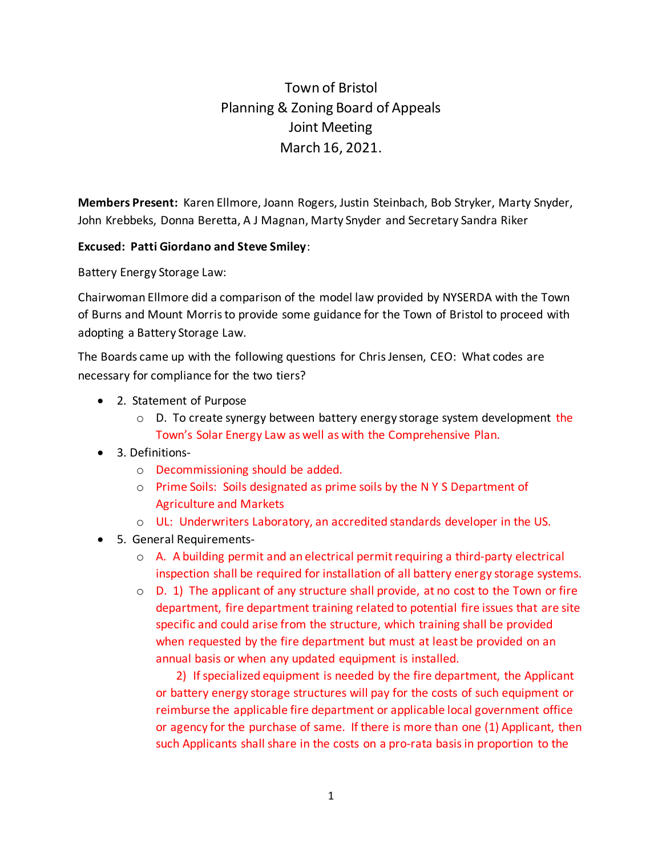## Town of Bristol Planning & Zoning Board of Appeals Joint Meeting March 16, 2021.

**Members Present:** Karen Ellmore, Joann Rogers, Justin Steinbach, Bob Stryker, Marty Snyder, John Krebbeks, Donna Beretta, A J Magnan, Marty Snyder and Secretary Sandra Riker

## **Excused: Patti Giordano and Steve Smiley**:

Battery Energy Storage Law:

Chairwoman Ellmore did a comparison of the model law provided by NYSERDA with the Town of Burns and Mount Morris to provide some guidance for the Town of Bristol to proceed with adopting a Battery Storage Law.

The Boards came up with the following questions for Chris Jensen, CEO: What codes are necessary for compliance for the two tiers?

- 2. Statement of Purpose
	- $\circ$  D. To create synergy between battery energy storage system development the Town's Solar Energy Law as well as with the Comprehensive Plan.
- 3. Definitions
	- o Decommissioning should be added.
	- o Prime Soils: Soils designated as prime soils by the N Y S Department of Agriculture and Markets
	- o UL: Underwriters Laboratory, an accredited standards developer in the US.
- 5. General Requirements
	- o A. A building permit and an electrical permit requiring a third-party electrical inspection shall be required for installation of all battery energy storage systems.
	- $\circ$  D. 1) The applicant of any structure shall provide, at no cost to the Town or fire department, fire department training related to potential fire issues that are site specific and could arise from the structure, which training shall be provided when requested by the fire department but must at least be provided on an annual basis or when any updated equipment is installed.

 2) If specialized equipment is needed by the fire department, the Applicant or battery energy storage structures will pay for the costs of such equipment or reimburse the applicable fire department or applicable local government office or agency for the purchase of same. If there is more than one (1) Applicant, then such Applicants shall share in the costs on a pro-rata basis in proportion to the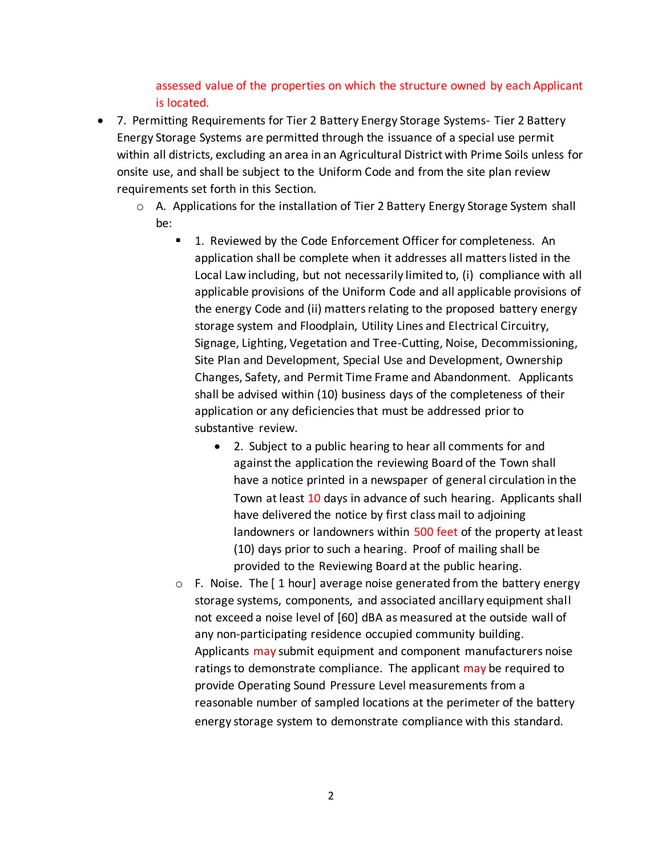## assessed value of the properties on which the structure owned by each Applicant is located.

- 7. Permitting Requirements for Tier 2 Battery Energy Storage Systems- Tier 2 Battery Energy Storage Systems are permitted through the issuance of a special use permit within all districts, excluding an area in an Agricultural District with Prime Soils unless for onsite use, and shall be subject to the Uniform Code and from the site plan review requirements set forth in this Section.
	- $\circ$  A. Applications for the installation of Tier 2 Battery Energy Storage System shall be:
		- 1. Reviewed by the Code Enforcement Officer for completeness. An application shall be complete when it addresses all matters listed in the Local Law including, but not necessarily limited to, (i) compliance with all applicable provisions of the Uniform Code and all applicable provisions of the energy Code and (ii) matters relating to the proposed battery energy storage system and Floodplain, Utility Lines and Electrical Circuitry, Signage, Lighting, Vegetation and Tree-Cutting, Noise, Decommissioning, Site Plan and Development, Special Use and Development, Ownership Changes, Safety, and Permit Time Frame and Abandonment. Applicants shall be advised within (10) business days of the completeness of their application or any deficiencies that must be addressed prior to substantive review.
			- 2. Subject to a public hearing to hear all comments for and against the application the reviewing Board of the Town shall have a notice printed in a newspaper of general circulation in the Town at least 10 days in advance of such hearing. Applicants shall have delivered the notice by first class mail to adjoining landowners or landowners within 500 feet of the property at least (10) days prior to such a hearing. Proof of mailing shall be provided to the Reviewing Board at the public hearing.
		- $\circ$  F. Noise. The [1 hour] average noise generated from the battery energy storage systems, components, and associated ancillary equipment shall not exceed a noise level of [60] dBA as measured at the outside wall of any non-participating residence occupied community building. Applicants may submit equipment and component manufacturers noise ratings to demonstrate compliance. The applicant may be required to provide Operating Sound Pressure Level measurements from a reasonable number of sampled locations at the perimeter of the battery energy storage system to demonstrate compliance with this standard.